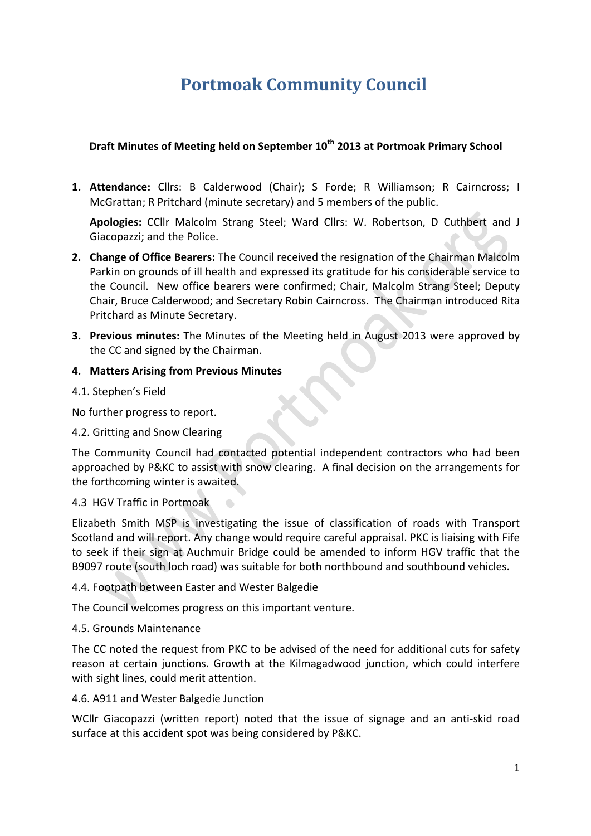# **Portmoak Community Council**

# **Draft Minutes of Meeting held on September 10<sup>th</sup> 2013 at Portmoak Primary School**

1. Attendance: Cllrs: B Calderwood (Chair); S Forde; R Williamson; R Cairncross; I McGrattan; R Pritchard (minute secretary) and 5 members of the public.

Apologies: CCllr Malcolm Strang Steel; Ward Cllrs: W. Robertson, D Cuthbert and J Giacopazzi: and the Police.

- **2. Change of Office Bearers:** The Council received the resignation of the Chairman Malcolm Parkin on grounds of ill health and expressed its gratitude for his considerable service to the Council. New office bearers were confirmed; Chair, Malcolm Strang Steel; Deputy Chair, Bruce Calderwood; and Secretary Robin Cairncross. The Chairman introduced Rita Pritchard as Minute Secretary.
- **3. Previous minutes:** The Minutes of the Meeting held in August 2013 were approved by the CC and signed by the Chairman.

## **4. Matters Arising from Previous Minutes**

4.1. Stephen's Field

No further progress to report.

4.2. Gritting and Snow Clearing

The Community Council had contacted potential independent contractors who had been approached by P&KC to assist with snow clearing. A final decision on the arrangements for the forthcoming winter is awaited.

## 4.3 HGV Traffic in Portmoak

Elizabeth Smith MSP is investigating the issue of classification of roads with Transport Scotland and will report. Any change would require careful appraisal. PKC is liaising with Fife to seek if their sign at Auchmuir Bridge could be amended to inform HGV traffic that the B9097 route (south loch road) was suitable for both northbound and southbound vehicles.

#### 4.4. Footpath between Easter and Wester Balgedie

The Council welcomes progress on this important venture.

#### 4.5. Grounds Maintenance

The CC noted the request from PKC to be advised of the need for additional cuts for safety reason at certain junctions. Growth at the Kilmagadwood junction, which could interfere with sight lines, could merit attention.

#### 4.6. A911 and Wester Balgedie Junction

WCllr Giacopazzi (written report) noted that the issue of signage and an anti-skid road surface at this accident spot was being considered by P&KC.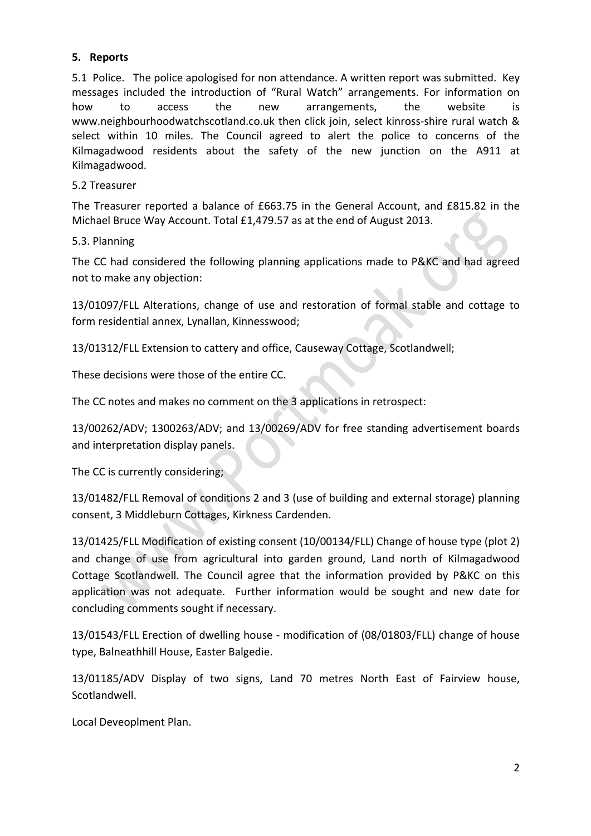## **5. Reports**

5.1 Police. The police apologised for non attendance. A written report was submitted. Key messages included the introduction of "Rural Watch" arrangements. For information on how to access the new arrangements, the website is www.neighbourhoodwatchscotland.co.uk then click join, select kinross-shire rural watch & select within 10 miles. The Council agreed to alert the police to concerns of the Kilmagadwood residents about the safety of the new junction on the A911 at Kilmagadwood.

#### 5.2 Treasurer

The Treasurer reported a balance of £663.75 in the General Account, and £815.82 in the Michael Bruce Way Account. Total £1,479.57 as at the end of August 2013.

#### 5.3. Planning

The CC had considered the following planning applications made to P&KC and had agreed not to make any objection:

13/01097/FLL Alterations, change of use and restoration of formal stable and cottage to form residential annex, Lynallan, Kinnesswood;

13/01312/FLL Extension to cattery and office, Causeway Cottage, Scotlandwell;

These decisions were those of the entire CC.

The CC notes and makes no comment on the 3 applications in retrospect:

13/00262/ADV; 1300263/ADV; and 13/00269/ADV for free standing advertisement boards and interpretation display panels.

The CC is currently considering;

13/01482/FLL Removal of conditions 2 and 3 (use of building and external storage) planning consent, 3 Middleburn Cottages, Kirkness Cardenden.

13/01425/FLL Modification of existing consent (10/00134/FLL) Change of house type (plot 2) and change of use from agricultural into garden ground, Land north of Kilmagadwood Cottage Scotlandwell. The Council agree that the information provided by P&KC on this application was not adequate. Further information would be sought and new date for concluding comments sought if necessary.

13/01543/FLL Erection of dwelling house - modification of (08/01803/FLL) change of house type, Balneathhill House, Easter Balgedie.

13/01185/ADV Display of two signs, Land 70 metres North East of Fairview house, Scotlandwell.

Local Deveoplment Plan.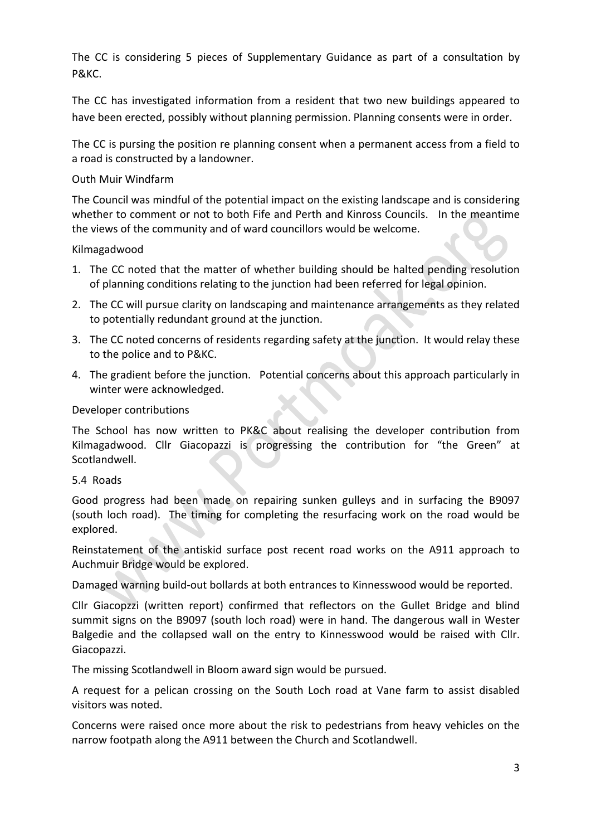The CC is considering 5 pieces of Supplementary Guidance as part of a consultation by P&KC.

The CC has investigated information from a resident that two new buildings appeared to have been erected, possibly without planning permission. Planning consents were in order.

The CC is pursing the position re planning consent when a permanent access from a field to a road is constructed by a landowner.

## Outh Muir Windfarm

The Council was mindful of the potential impact on the existing landscape and is considering whether to comment or not to both Fife and Perth and Kinross Councils. In the meantime the views of the community and of ward councillors would be welcome.

Kilmagadwood 

- 1. The CC noted that the matter of whether building should be halted pending resolution of planning conditions relating to the junction had been referred for legal opinion.
- 2. The CC will pursue clarity on landscaping and maintenance arrangements as they related to potentially redundant ground at the junction.
- 3. The CC noted concerns of residents regarding safety at the junction. It would relay these to the police and to P&KC.
- 4. The gradient before the junction. Potential concerns about this approach particularly in winter were acknowledged.

Developer contributions

The School has now written to PK&C about realising the developer contribution from Kilmagadwood. Cllr Giacopazzi is progressing the contribution for "the Green" at Scotlandwell.

#### 5.4 Roads

Good progress had been made on repairing sunken gulleys and in surfacing the B9097 (south loch road). The timing for completing the resurfacing work on the road would be explored.

Reinstatement of the antiskid surface post recent road works on the A911 approach to Auchmuir Bridge would be explored.

Damaged warning build-out bollards at both entrances to Kinnesswood would be reported.

Cllr Giacopzzi (written report) confirmed that reflectors on the Gullet Bridge and blind summit signs on the B9097 (south loch road) were in hand. The dangerous wall in Wester Balgedie and the collapsed wall on the entry to Kinnesswood would be raised with Cllr. Giacopazzi.

The missing Scotlandwell in Bloom award sign would be pursued.

A request for a pelican crossing on the South Loch road at Vane farm to assist disabled visitors was noted.

Concerns were raised once more about the risk to pedestrians from heavy vehicles on the narrow footpath along the A911 between the Church and Scotlandwell.